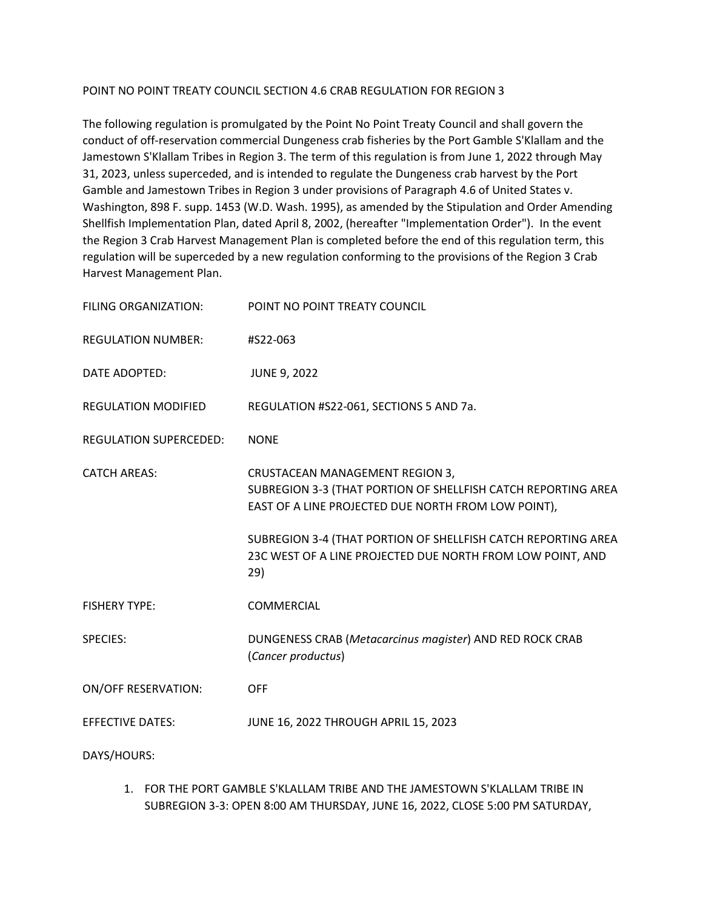#### POINT NO POINT TREATY COUNCIL SECTION 4.6 CRAB REGULATION FOR REGION 3

The following regulation is promulgated by the Point No Point Treaty Council and shall govern the conduct of off-reservation commercial Dungeness crab fisheries by the Port Gamble S'Klallam and the Jamestown S'Klallam Tribes in Region 3. The term of this regulation is from June 1, 2022 through May 31, 2023, unless superceded, and is intended to regulate the Dungeness crab harvest by the Port Gamble and Jamestown Tribes in Region 3 under provisions of Paragraph 4.6 of United States v. Washington, 898 F. supp. 1453 (W.D. Wash. 1995), as amended by the Stipulation and Order Amending Shellfish Implementation Plan, dated April 8, 2002, (hereafter "Implementation Order"). In the event the Region 3 Crab Harvest Management Plan is completed before the end of this regulation term, this regulation will be superceded by a new regulation conforming to the provisions of the Region 3 Crab Harvest Management Plan.

| <b>FILING ORGANIZATION:</b>   | POINT NO POINT TREATY COUNCIL                                                                                                                           |
|-------------------------------|---------------------------------------------------------------------------------------------------------------------------------------------------------|
| <b>REGULATION NUMBER:</b>     | #S22-063                                                                                                                                                |
| DATE ADOPTED:                 | <b>JUNE 9, 2022</b>                                                                                                                                     |
| <b>REGULATION MODIFIED</b>    | REGULATION #S22-061, SECTIONS 5 AND 7a.                                                                                                                 |
| <b>REGULATION SUPERCEDED:</b> | <b>NONE</b>                                                                                                                                             |
| <b>CATCH AREAS:</b>           | CRUSTACEAN MANAGEMENT REGION 3,<br>SUBREGION 3-3 (THAT PORTION OF SHELLFISH CATCH REPORTING AREA<br>EAST OF A LINE PROJECTED DUE NORTH FROM LOW POINT), |
|                               | SUBREGION 3-4 (THAT PORTION OF SHELLFISH CATCH REPORTING AREA<br>23C WEST OF A LINE PROJECTED DUE NORTH FROM LOW POINT, AND<br>29)                      |
| <b>FISHERY TYPE:</b>          | COMMERCIAL                                                                                                                                              |
| <b>SPECIES:</b>               | DUNGENESS CRAB (Metacarcinus magister) AND RED ROCK CRAB<br>(Cancer productus)                                                                          |
| <b>ON/OFF RESERVATION:</b>    | <b>OFF</b>                                                                                                                                              |
| <b>EFFECTIVE DATES:</b>       | JUNE 16, 2022 THROUGH APRIL 15, 2023                                                                                                                    |
| DAYS/HOURS:                   |                                                                                                                                                         |

1. FOR THE PORT GAMBLE S'KLALLAM TRIBE AND THE JAMESTOWN S'KLALLAM TRIBE IN SUBREGION 3-3: OPEN 8:00 AM THURSDAY, JUNE 16, 2022, CLOSE 5:00 PM SATURDAY,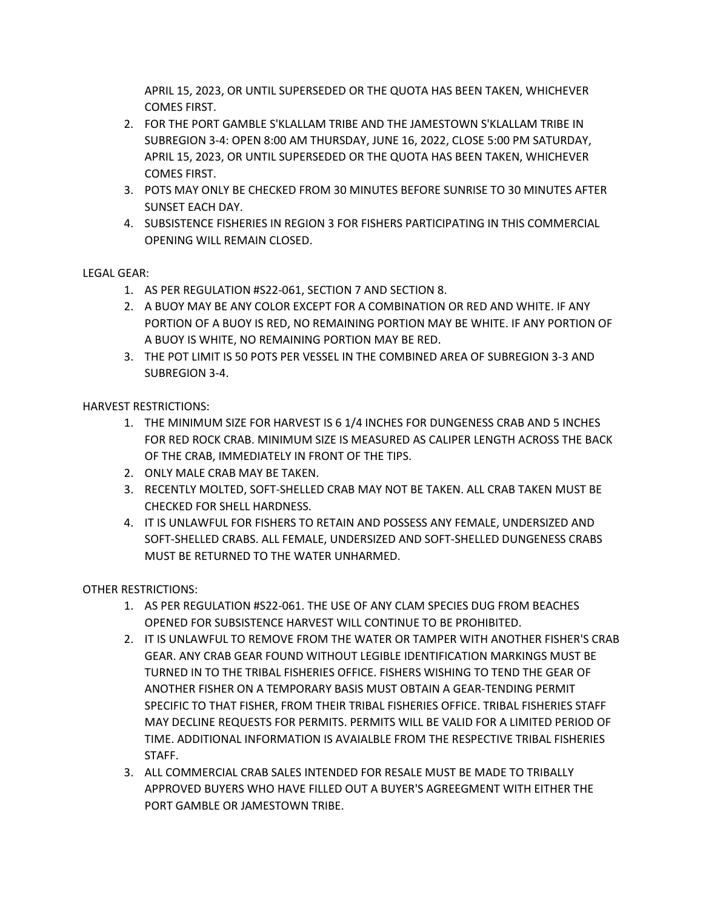APRIL 15, 2023, OR UNTIL SUPERSEDED OR THE QUOTA HAS BEEN TAKEN, WHICHEVER COMES FIRST.

- 2. FOR THE PORT GAMBLE S'KLALLAM TRIBE AND THE JAMESTOWN S'KLALLAM TRIBE IN SUBREGION 3-4: OPEN 8:00 AM THURSDAY, JUNE 16, 2022, CLOSE 5:00 PM SATURDAY, APRIL 15, 2023, OR UNTIL SUPERSEDED OR THE QUOTA HAS BEEN TAKEN, WHICHEVER COMES FIRST.
- 3. POTS MAY ONLY BE CHECKED FROM 30 MINUTES BEFORE SUNRISE TO 30 MINUTES AFTER SUNSET EACH DAY.
- 4. SUBSISTENCE FISHERIES IN REGION 3 FOR FISHERS PARTICIPATING IN THIS COMMERCIAL OPENING WILL REMAIN CLOSED.

# LEGAL GEAR:

- 1. AS PER REGULATION #S22-061, SECTION 7 AND SECTION 8.
- 2. A BUOY MAY BE ANY COLOR EXCEPT FOR A COMBINATION OR RED AND WHITE. IF ANY PORTION OF A BUOY IS RED, NO REMAINING PORTION MAY BE WHITE. IF ANY PORTION OF A BUOY IS WHITE, NO REMAINING PORTION MAY BE RED.
- 3. THE POT LIMIT IS 50 POTS PER VESSEL IN THE COMBINED AREA OF SUBREGION 3-3 AND SUBREGION 3-4.

HARVEST RESTRICTIONS:

- 1. THE MINIMUM SIZE FOR HARVEST IS 6 1/4 INCHES FOR DUNGENESS CRAB AND 5 INCHES FOR RED ROCK CRAB. MINIMUM SIZE IS MEASURED AS CALIPER LENGTH ACROSS THE BACK OF THE CRAB, IMMEDIATELY IN FRONT OF THE TIPS.
- 2. ONLY MALE CRAB MAY BE TAKEN.
- 3. RECENTLY MOLTED, SOFT-SHELLED CRAB MAY NOT BE TAKEN. ALL CRAB TAKEN MUST BE CHECKED FOR SHELL HARDNESS.
- 4. IT IS UNLAWFUL FOR FISHERS TO RETAIN AND POSSESS ANY FEMALE, UNDERSIZED AND SOFT-SHELLED CRABS. ALL FEMALE, UNDERSIZED AND SOFT-SHELLED DUNGENESS CRABS MUST BE RETURNED TO THE WATER UNHARMED.

OTHER RESTRICTIONS:

- 1. AS PER REGULATION #S22-061. THE USE OF ANY CLAM SPECIES DUG FROM BEACHES OPENED FOR SUBSISTENCE HARVEST WILL CONTINUE TO BE PROHIBITED.
- 2. IT IS UNLAWFUL TO REMOVE FROM THE WATER OR TAMPER WITH ANOTHER FISHER'S CRAB GEAR. ANY CRAB GEAR FOUND WITHOUT LEGIBLE IDENTIFICATION MARKINGS MUST BE TURNED IN TO THE TRIBAL FISHERIES OFFICE. FISHERS WISHING TO TEND THE GEAR OF ANOTHER FISHER ON A TEMPORARY BASIS MUST OBTAIN A GEAR-TENDING PERMIT SPECIFIC TO THAT FISHER, FROM THEIR TRIBAL FISHERIES OFFICE. TRIBAL FISHERIES STAFF MAY DECLINE REQUESTS FOR PERMITS. PERMITS WILL BE VALID FOR A LIMITED PERIOD OF TIME. ADDITIONAL INFORMATION IS AVAIALBLE FROM THE RESPECTIVE TRIBAL FISHERIES STAFF.
- 3. ALL COMMERCIAL CRAB SALES INTENDED FOR RESALE MUST BE MADE TO TRIBALLY APPROVED BUYERS WHO HAVE FILLED OUT A BUYER'S AGREEGMENT WITH EITHER THE PORT GAMBLE OR JAMESTOWN TRIBE.